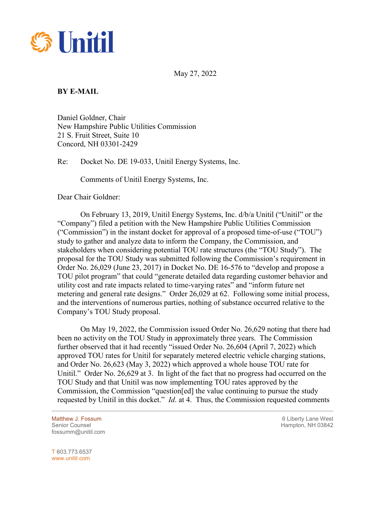

May 27, 2022

## **BY E-MAIL**

Daniel Goldner, Chair New Hampshire Public Utilities Commission 21 S. Fruit Street, Suite 10 Concord, NH 03301-2429

Re: Docket No. DE 19-033, Unitil Energy Systems, Inc.

Comments of Unitil Energy Systems, Inc.

Dear Chair Goldner:

On February 13, 2019, Unitil Energy Systems, Inc. d/b/a Unitil ("Unitil" or the "Company") filed a petition with the New Hampshire Public Utilities Commission ("Commission") in the instant docket for approval of a proposed time-of-use ("TOU") study to gather and analyze data to inform the Company, the Commission, and stakeholders when considering potential TOU rate structures (the "TOU Study"). The proposal for the TOU Study was submitted following the Commission's requirement in Order No. 26,029 (June 23, 2017) in Docket No. DE 16-576 to "develop and propose a TOU pilot program" that could "generate detailed data regarding customer behavior and utility cost and rate impacts related to time-varying rates" and "inform future net metering and general rate designs." Order 26,029 at 62. Following some initial process, and the interventions of numerous parties, nothing of substance occurred relative to the Company's TOU Study proposal.

On May 19, 2022, the Commission issued Order No. 26,629 noting that there had been no activity on the TOU Study in approximately three years. The Commission further observed that it had recently "issued Order No. 26,604 (April 7, 2022) which approved TOU rates for Unitil for separately metered electric vehicle charging stations, and Order No. 26,623 (May 3, 2022) which approved a whole house TOU rate for Unitil." Order No. 26,629 at 3. In light of the fact that no progress had occurred on the TOU Study and that Unitil was now implementing TOU rates approved by the Commission, the Commission "question[ed] the value continuing to pursue the study requested by Unitil in this docket." *Id*. at 4. Thus, the Commission requested comments

fossumm@unitil.com

Matthew J. Fossum **6 Liberty Lane West 6 Liberty Lane West** Senior Counsel New York 1988 and the Senior Counsel Hampton, NH 03842

T 603.773.6537 www.unitil.com

 $\overline{a}$